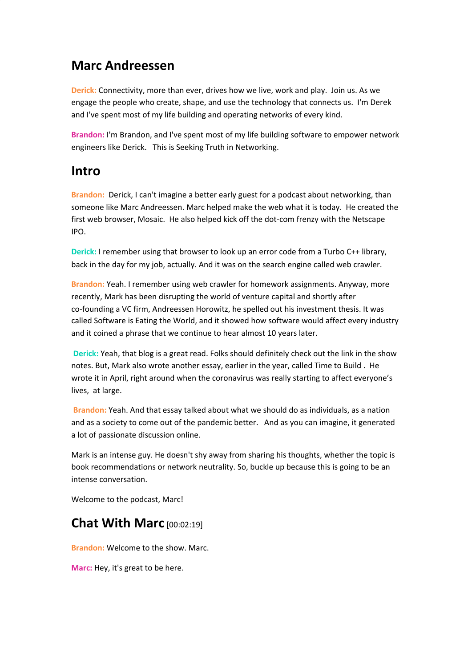## **Marc Andreessen**

**Derick:** Connectivity, more than ever, drives how we live, work and play. Join us. As we engage the people who create, shape, and use the technology that connects us. I'm Derek and I've spent most of my life building and operating networks of every kind.

**Brandon:** I'm Brandon, and I've spent most of my life building software to empower network engineers like Derick. This is Seeking Truth in Networking.

### **Intro**

**Brandon:** Derick, I can't imagine a better early guest for a podcast about networking, than someone like Marc Andreessen. Marc helped make the web what it is today. He created the first web browser, Mosaic. He also helped kick off the dot-com frenzy with the Netscape IPO.

**Derick:** I remember using that browser to look up an error code from a Turbo C++ library, back in the day for my job, actually. And it was on the search engine called web crawler.

**Brandon:** Yeah. I remember using web crawler for homework assignments. Anyway, more recently, Mark has been disrupting the world of venture capital and shortly after co-founding a VC firm, Andreessen Horowitz, he spelled out his investment thesis. It was called Software is Eating the World, and it showed how software would affect every industry and it coined a phrase that we continue to hear almost 10 years later.

**Derick:** Yeah, that blog is a great read. Folks should definitely check out the link in the show notes. But, Mark also wrote another essay, earlier in the year, called Time to Build . He wrote it in April, right around when the coronavirus was really starting to affect everyone's lives, at large.

**Brandon:** Yeah. And that essay talked about what we should do as individuals, as a nation and as a society to come out of the pandemic better. And as you can imagine, it generated a lot of passionate discussion online.

Mark is an intense guy. He doesn't shy away from sharing his thoughts, whether the topic is book recommendations or network neutrality. So, buckle up because this is going to be an intense conversation.

Welcome to the podcast, Marc!

# **Chat With Marc** [00:02:19]

**Brandon:** Welcome to the show. Marc.

**Marc:** Hey, it's great to be here.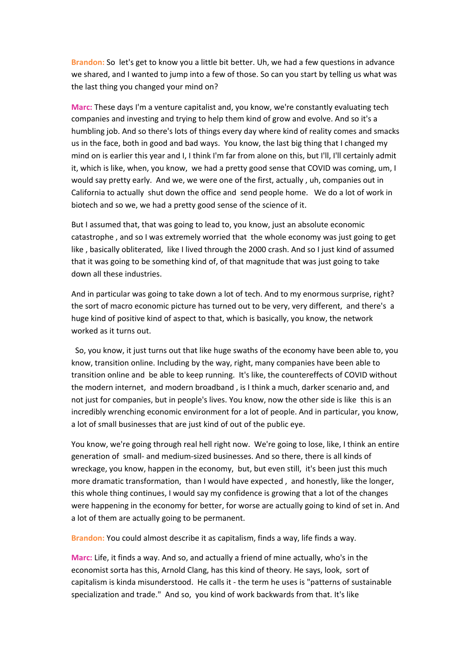**Brandon:** So let's get to know you a little bit better. Uh, we had a few questions in advance we shared, and I wanted to jump into a few of those. So can you start by telling us what was the last thing you changed your mind on?

**Marc:** These days I'm a venture capitalist and, you know, we're constantly evaluating tech companies and investing and trying to help them kind of grow and evolve. And so it's a humbling job. And so there's lots of things every day where kind of reality comes and smacks us in the face, both in good and bad ways. You know, the last big thing that I changed my mind on is earlier this year and I, I think I'm far from alone on this, but I'll, I'll certainly admit it, which is like, when, you know, we had a pretty good sense that COVID was coming, um, I would say pretty early. And we, we were one of the first, actually , uh, companies out in California to actually shut down the office and send people home. We do a lot of work in biotech and so we, we had a pretty good sense of the science of it.

But I assumed that, that was going to lead to, you know, just an absolute economic catastrophe , and so I was extremely worried that the whole economy was just going to get like , basically obliterated, like I lived through the 2000 crash. And so I just kind of assumed that it was going to be something kind of, of that magnitude that was just going to take down all these industries.

And in particular was going to take down a lot of tech. And to my enormous surprise, right? the sort of macro economic picture has turned out to be very, very different, and there's a huge kind of positive kind of aspect to that, which is basically, you know, the network worked as it turns out.

So, you know, it just turns out that like huge swaths of the economy have been able to, you know, transition online. Including by the way, right, many companies have been able to transition online and be able to keep running. It's like, the countereffects of COVID without the modern internet, and modern broadband , is I think a much, darker scenario and, and not just for companies, but in people's lives. You know, now the other side is like this is an incredibly wrenching economic environment for a lot of people. And in particular, you know, a lot of small businesses that are just kind of out of the public eye.

You know, we're going through real hell right now. We're going to lose, like, I think an entire generation of small- and medium-sized businesses. And so there, there is all kinds of wreckage, you know, happen in the economy, but, but even still, it's been just this much more dramatic transformation, than I would have expected , and honestly, like the longer, this whole thing continues, I would say my confidence is growing that a lot of the changes were happening in the economy for better, for worse are actually going to kind of set in. And a lot of them are actually going to be permanent.

**Brandon:** You could almost describe it as capitalism, finds a way, life finds a way.

**Marc:** Life, it finds a way. And so, and actually a friend of mine actually, who's in the economist sorta has this, Arnold Clang, has this kind of theory. He says, look, sort of capitalism is kinda misunderstood. He calls it - the term he uses is "patterns of sustainable specialization and trade." And so, you kind of work backwards from that. It's like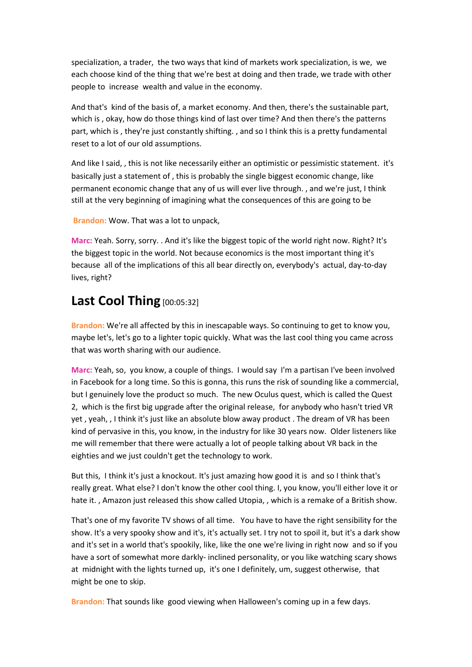specialization, a trader, the two ways that kind of markets work specialization, is we, we each choose kind of the thing that we're best at doing and then trade, we trade with other people to increase wealth and value in the economy.

And that's kind of the basis of, a market economy. And then, there's the sustainable part, which is , okay, how do those things kind of last over time? And then there's the patterns part, which is , they're just constantly shifting. , and so I think this is a pretty fundamental reset to a lot of our old assumptions.

And like I said,, this is not like necessarily either an optimistic or pessimistic statement. it's basically just a statement of , this is probably the single biggest economic change, like permanent economic change that any of us will ever live through. , and we're just, I think still at the very beginning of imagining what the consequences of this are going to be

**Brandon:** Wow. That was a lot to unpack,

**Marc:** Yeah. Sorry, sorry. . And it's like the biggest topic of the world right now. Right? It's the biggest topic in the world. Not because economics is the most important thing it's because all of the implications of this all bear directly on, everybody's actual, day-to-day lives, right?

#### **Last Cool Thing** [00:05:32]

**Brandon:** We're all affected by this in inescapable ways. So continuing to get to know you, maybe let's, let's go to a lighter topic quickly. What was the last cool thing you came across that was worth sharing with our audience.

**Marc:** Yeah, so, you know, a couple of things. I would say I'm a partisan I've been involved in Facebook for a long time. So this is gonna, this runs the risk of sounding like a commercial, but I genuinely love the product so much. The new Oculus quest, which is called the Quest 2, which is the first big upgrade after the original release, for anybody who hasn't tried VR yet , yeah, , I think it's just like an absolute blow away product . The dream of VR has been kind of pervasive in this, you know, in the industry for like 30 years now. Older listeners like me will remember that there were actually a lot of people talking about VR back in the eighties and we just couldn't get the technology to work.

But this, I think it's just a knockout. It's just amazing how good it is and so I think that's really great. What else? I don't know the other cool thing. I, you know, you'll either love it or hate it., Amazon just released this show called Utopia,, which is a remake of a British show.

That's one of my favorite TV shows of all time. You have to have the right sensibility for the show. It's a very spooky show and it's, it's actually set. I try not to spoil it, but it's a dark show and it's set in a world that's spookily, like, like the one we're living in right now and so if you have a sort of somewhat more darkly- inclined personality, or you like watching scary shows at midnight with the lights turned up, it's one I definitely, um, suggest otherwise, that might be one to skip.

**Brandon:** That sounds like good viewing when Halloween's coming up in a few days.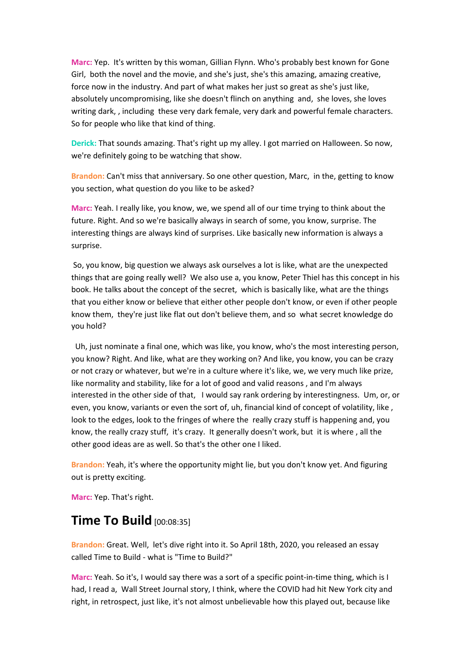**Marc:** Yep. It's written by this woman, Gillian Flynn. Who's probably best known for Gone Girl, both the novel and the movie, and she's just, she's this amazing, amazing creative, force now in the industry. And part of what makes her just so great as she's just like, absolutely uncompromising, like she doesn't flinch on anything and, she loves, she loves writing dark, , including these very dark female, very dark and powerful female characters. So for people who like that kind of thing.

**Derick:** That sounds amazing. That's right up my alley. I got married on Halloween. So now, we're definitely going to be watching that show.

**Brandon:** Can't miss that anniversary. So one other question, Marc, in the, getting to know you section, what question do you like to be asked?

**Marc:** Yeah. I really like, you know, we, we spend all of our time trying to think about the future. Right. And so we're basically always in search of some, you know, surprise. The interesting things are always kind of surprises. Like basically new information is always a surprise.

So, you know, big question we always ask ourselves a lot is like, what are the unexpected things that are going really well? We also use a, you know, Peter Thiel has this concept in his book. He talks about the concept of the secret, which is basically like, what are the things that you either know or believe that either other people don't know, or even if other people know them, they're just like flat out don't believe them, and so what secret knowledge do you hold?

Uh, just nominate a final one, which was like, you know, who's the most interesting person, you know? Right. And like, what are they working on? And like, you know, you can be crazy or not crazy or whatever, but we're in a culture where it's like, we, we very much like prize, like normality and stability, like for a lot of good and valid reasons , and I'm always interested in the other side of that, I would say rank ordering by interestingness. Um, or, or even, you know, variants or even the sort of, uh, financial kind of concept of volatility, like , look to the edges, look to the fringes of where the really crazy stuff is happening and, you know, the really crazy stuff, it's crazy. It generally doesn't work, but it is where , all the other good ideas are as well. So that's the other one I liked.

**Brandon:** Yeah, it's where the opportunity might lie, but you don't know yet. And figuring out is pretty exciting.

**Marc:** Yep. That's right.

## **Time To Build** [00:08:35]

**Brandon:** Great. Well, let's dive right into it. So April 18th, 2020, you released an essay called Time to Build - what is "Time to Build?"

**Marc:** Yeah. So it's, I would say there was a sort of a specific point-in-time thing, which is I had, I read a, Wall Street Journal story, I think, where the COVID had hit New York city and right, in retrospect, just like, it's not almost unbelievable how this played out, because like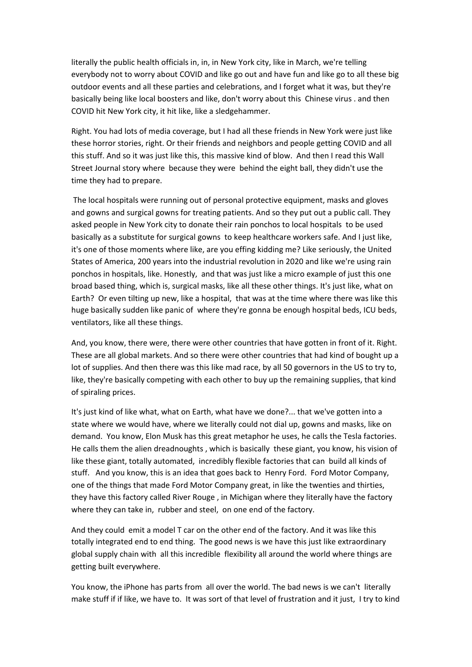literally the public health officials in, in, in New York city, like in March, we're telling everybody not to worry about COVID and like go out and have fun and like go to all these big outdoor events and all these parties and celebrations, and I forget what it was, but they're basically being like local boosters and like, don't worry about this Chinese virus . and then COVID hit New York city, it hit like, like a sledgehammer.

Right. You had lots of media coverage, but I had all these friends in New York were just like these horror stories, right. Or their friends and neighbors and people getting COVID and all this stuff. And so it was just like this, this massive kind of blow. And then I read this Wall Street Journal story where because they were behind the eight ball, they didn't use the time they had to prepare.

The local hospitals were running out of personal protective equipment, masks and gloves and gowns and surgical gowns for treating patients. And so they put out a public call. They asked people in New York city to donate their rain ponchos to local hospitals to be used basically as a substitute for surgical gowns to keep healthcare workers safe. And I just like, it's one of those moments where like, are you effing kidding me? Like seriously, the United States of America, 200 years into the industrial revolution in 2020 and like we're using rain ponchos in hospitals, like. Honestly, and that was just like a micro example of just this one broad based thing, which is, surgical masks, like all these other things. It's just like, what on Earth? Or even tilting up new, like a hospital, that was at the time where there was like this huge basically sudden like panic of where they're gonna be enough hospital beds, ICU beds, ventilators, like all these things.

And, you know, there were, there were other countries that have gotten in front of it. Right. These are all global markets. And so there were other countries that had kind of bought up a lot of supplies. And then there was this like mad race, by all 50 governors in the US to try to, like, they're basically competing with each other to buy up the remaining supplies, that kind of spiraling prices.

It's just kind of like what, what on Earth, what have we done?... that we've gotten into a state where we would have, where we literally could not dial up, gowns and masks, like on demand. You know, Elon Musk has this great metaphor he uses, he calls the Tesla factories. He calls them the alien dreadnoughts , which is basically these giant, you know, his vision of like these giant, totally automated, incredibly flexible factories that can build all kinds of stuff. And you know, this is an idea that goes back to Henry Ford. Ford Motor Company, one of the things that made Ford Motor Company great, in like the twenties and thirties, they have this factory called River Rouge , in Michigan where they literally have the factory where they can take in, rubber and steel, on one end of the factory.

And they could emit a model T car on the other end of the factory. And it was like this totally integrated end to end thing. The good news is we have this just like extraordinary global supply chain with all this incredible flexibility all around the world where things are getting built everywhere.

You know, the iPhone has parts from all over the world. The bad news is we can't literally make stuff if if like, we have to. It was sort of that level of frustration and it just, I try to kind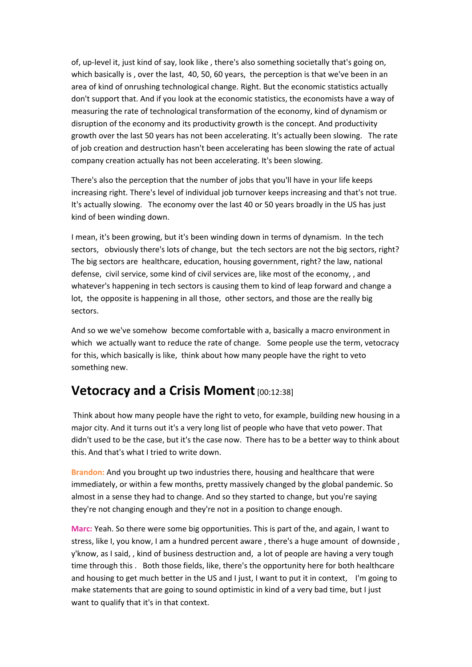of, up-level it, just kind of say, look like , there's also something societally that's going on, which basically is , over the last, 40, 50, 60 years, the perception is that we've been in an area of kind of onrushing technological change. Right. But the economic statistics actually don't support that. And if you look at the economic statistics, the economists have a way of measuring the rate of technological transformation of the economy, kind of dynamism or disruption of the economy and its productivity growth is the concept. And productivity growth over the last 50 years has not been accelerating. It's actually been slowing. The rate of job creation and destruction hasn't been accelerating has been slowing the rate of actual company creation actually has not been accelerating. It's been slowing.

There's also the perception that the number of jobs that you'll have in your life keeps increasing right. There's level of individual job turnover keeps increasing and that's not true. It's actually slowing. The economy over the last 40 or 50 years broadly in the US has just kind of been winding down.

I mean, it's been growing, but it's been winding down in terms of dynamism. In the tech sectors, obviously there's lots of change, but the tech sectors are not the big sectors, right? The big sectors are healthcare, education, housing government, right? the law, national defense, civil service, some kind of civil services are, like most of the economy, , and whatever's happening in tech sectors is causing them to kind of leap forward and change a lot, the opposite is happening in all those, other sectors, and those are the really big sectors.

And so we we've somehow become comfortable with a, basically a macro environment in which we actually want to reduce the rate of change. Some people use the term, vetocracy for this, which basically is like, think about how many people have the right to veto something new.

#### **Vetocracy and a Crisis Moment [00:12:38]**

Think about how many people have the right to veto, for example, building new housing in a major city. And it turns out it's a very long list of people who have that veto power. That didn't used to be the case, but it's the case now. There has to be a better way to think about this. And that's what I tried to write down.

**Brandon:** And you brought up two industries there, housing and healthcare that were immediately, or within a few months, pretty massively changed by the global pandemic. So almost in a sense they had to change. And so they started to change, but you're saying they're not changing enough and they're not in a position to change enough.

**Marc:** Yeah. So there were some big opportunities. This is part of the, and again, I want to stress, like I, you know, I am a hundred percent aware , there's a huge amount of downside , y'know, as I said, , kind of business destruction and, a lot of people are having a very tough time through this . Both those fields, like, there's the opportunity here for both healthcare and housing to get much better in the US and I just, I want to put it in context, I'm going to make statements that are going to sound optimistic in kind of a very bad time, but I just want to qualify that it's in that context.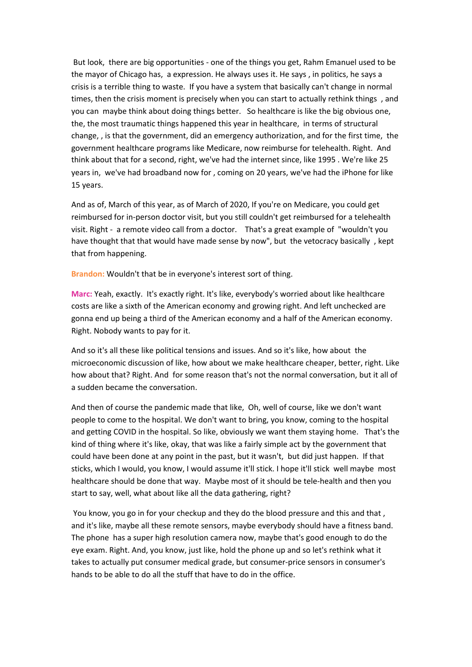But look, there are big opportunities - one of the things you get, Rahm Emanuel used to be the mayor of Chicago has, a expression. He always uses it. He says , in politics, he says a crisis is a terrible thing to waste. If you have a system that basically can't change in normal times, then the crisis moment is precisely when you can start to actually rethink things , and you can maybe think about doing things better. So healthcare is like the big obvious one, the, the most traumatic things happened this year in healthcare, in terms of structural change, , is that the government, did an emergency authorization, and for the first time, the government healthcare programs like Medicare, now reimburse for telehealth. Right. And think about that for a second, right, we've had the internet since, like 1995 . We're like 25 years in, we've had broadband now for , coming on 20 years, we've had the iPhone for like 15 years.

And as of, March of this year, as of March of 2020, If you're on Medicare, you could get reimbursed for in-person doctor visit, but you still couldn't get reimbursed for a telehealth visit. Right - a remote video call from a doctor. That's a great example of "wouldn't you have thought that that would have made sense by now", but the vetocracy basically , kept that from happening.

**Brandon:** Wouldn't that be in everyone's interest sort of thing.

**Marc:** Yeah, exactly. It's exactly right. It's like, everybody's worried about like healthcare costs are like a sixth of the American economy and growing right. And left unchecked are gonna end up being a third of the American economy and a half of the American economy. Right. Nobody wants to pay for it.

And so it's all these like political tensions and issues. And so it's like, how about the microeconomic discussion of like, how about we make healthcare cheaper, better, right. Like how about that? Right. And for some reason that's not the normal conversation, but it all of a sudden became the conversation.

And then of course the pandemic made that like, Oh, well of course, like we don't want people to come to the hospital. We don't want to bring, you know, coming to the hospital and getting COVID in the hospital. So like, obviously we want them staying home. That's the kind of thing where it's like, okay, that was like a fairly simple act by the government that could have been done at any point in the past, but it wasn't, but did just happen. If that sticks, which I would, you know, I would assume it'll stick. I hope it'll stick well maybe most healthcare should be done that way. Maybe most of it should be tele-health and then you start to say, well, what about like all the data gathering, right?

You know, you go in for your checkup and they do the blood pressure and this and that, and it's like, maybe all these remote sensors, maybe everybody should have a fitness band. The phone has a super high resolution camera now, maybe that's good enough to do the eye exam. Right. And, you know, just like, hold the phone up and so let's rethink what it takes to actually put consumer medical grade, but consumer-price sensors in consumer's hands to be able to do all the stuff that have to do in the office.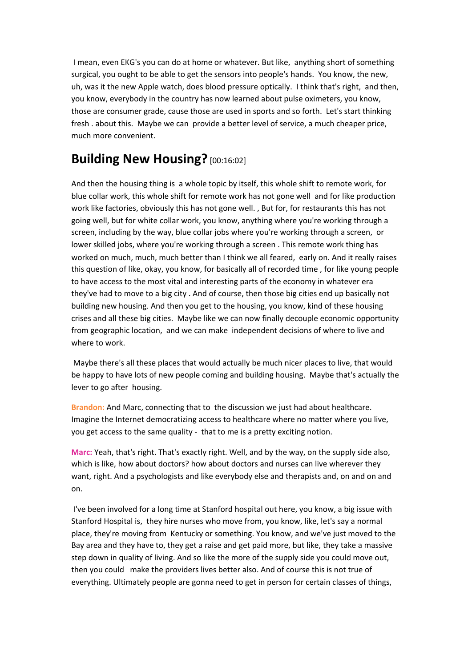I mean, even EKG's you can do at home or whatever. But like, anything short of something surgical, you ought to be able to get the sensors into people's hands. You know, the new, uh, was it the new Apple watch, does blood pressure optically. I think that's right, and then, you know, everybody in the country has now learned about pulse oximeters, you know, those are consumer grade, cause those are used in sports and so forth. Let's start thinking fresh . about this. Maybe we can provide a better level of service, a much cheaper price, much more convenient.

## **Building New Housing?** [00:16:02]

And then the housing thing is a whole topic by itself, this whole shift to remote work, for blue collar work, this whole shift for remote work has not gone well and for like production work like factories, obviously this has not gone well. , But for, for restaurants this has not going well, but for white collar work, you know, anything where you're working through a screen, including by the way, blue collar jobs where you're working through a screen, or lower skilled jobs, where you're working through a screen . This remote work thing has worked on much, much, much better than I think we all feared, early on. And it really raises this question of like, okay, you know, for basically all of recorded time , for like young people to have access to the most vital and interesting parts of the economy in whatever era they've had to move to a big city . And of course, then those big cities end up basically not building new housing. And then you get to the housing, you know, kind of these housing crises and all these big cities. Maybe like we can now finally decouple economic opportunity from geographic location, and we can make independent decisions of where to live and where to work.

Maybe there's all these places that would actually be much nicer places to live, that would be happy to have lots of new people coming and building housing. Maybe that's actually the lever to go after housing.

**Brandon:** And Marc, connecting that to the discussion we just had about healthcare. Imagine the Internet democratizing access to healthcare where no matter where you live, you get access to the same quality - that to me is a pretty exciting notion.

**Marc:** Yeah, that's right. That's exactly right. Well, and by the way, on the supply side also, which is like, how about doctors? how about doctors and nurses can live wherever they want, right. And a psychologists and like everybody else and therapists and, on and on and on.

I've been involved for a long time at Stanford hospital out here, you know, a big issue with Stanford Hospital is, they hire nurses who move from, you know, like, let's say a normal place, they're moving from Kentucky or something. You know, and we've just moved to the Bay area and they have to, they get a raise and get paid more, but like, they take a massive step down in quality of living. And so like the more of the supply side you could move out, then you could make the providers lives better also. And of course this is not true of everything. Ultimately people are gonna need to get in person for certain classes of things,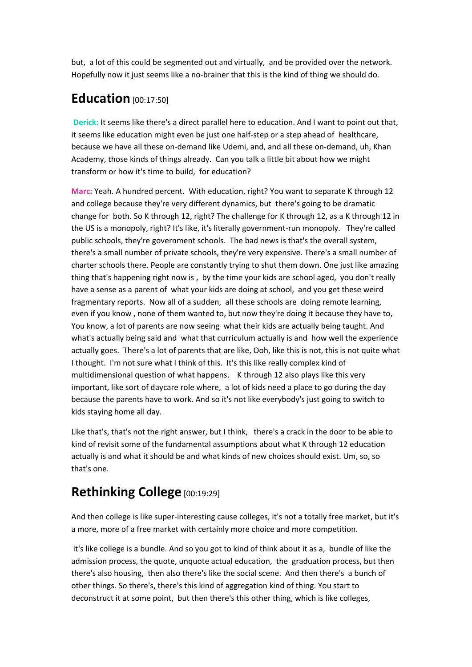but, a lot of this could be segmented out and virtually, and be provided over the network. Hopefully now it just seems like a no-brainer that this is the kind of thing we should do.

## **Education** [00:17:50]

**Derick:** It seems like there's a direct parallel here to education. And I want to point out that, it seems like education might even be just one half-step or a step ahead of healthcare, because we have all these on-demand like Udemi, and, and all these on-demand, uh, Khan Academy, those kinds of things already. Can you talk a little bit about how we might transform or how it's time to build, for education?

**Marc:** Yeah. A hundred percent. With education, right? You want to separate K through 12 and college because they're very different dynamics, but there's going to be dramatic change for both. So K through 12, right? The challenge for K through 12, as a K through 12 in the US is a monopoly, right? It's like, it's literally government-run monopoly. They're called public schools, they're government schools. The bad news is that's the overall system, there's a small number of private schools, they're very expensive. There's a small number of charter schools there. People are constantly trying to shut them down. One just like amazing thing that's happening right now is , by the time your kids are school aged, you don't really have a sense as a parent of what your kids are doing at school, and you get these weird fragmentary reports. Now all of a sudden, all these schools are doing remote learning, even if you know , none of them wanted to, but now they're doing it because they have to, You know, a lot of parents are now seeing what their kids are actually being taught. And what's actually being said and what that curriculum actually is and how well the experience actually goes. There's a lot of parents that are like, Ooh, like this is not, this is not quite what I thought. I'm not sure what I think of this. It's this like really complex kind of multidimensional question of what happens. K through 12 also plays like this very important, like sort of daycare role where, a lot of kids need a place to go during the day because the parents have to work. And so it's not like everybody's just going to switch to kids staying home all day.

Like that's, that's not the right answer, but I think, there's a crack in the door to be able to kind of revisit some of the fundamental assumptions about what K through 12 education actually is and what it should be and what kinds of new choices should exist. Um, so, so that's one.

# **Rethinking College** [00:19:29]

And then college is like super-interesting cause colleges, it's not a totally free market, but it's a more, more of a free market with certainly more choice and more competition.

it's like college is a bundle. And so you got to kind of think about it as a, bundle of like the admission process, the quote, unquote actual education, the graduation process, but then there's also housing, then also there's like the social scene. And then there's a bunch of other things. So there's, there's this kind of aggregation kind of thing. You start to deconstruct it at some point, but then there's this other thing, which is like colleges,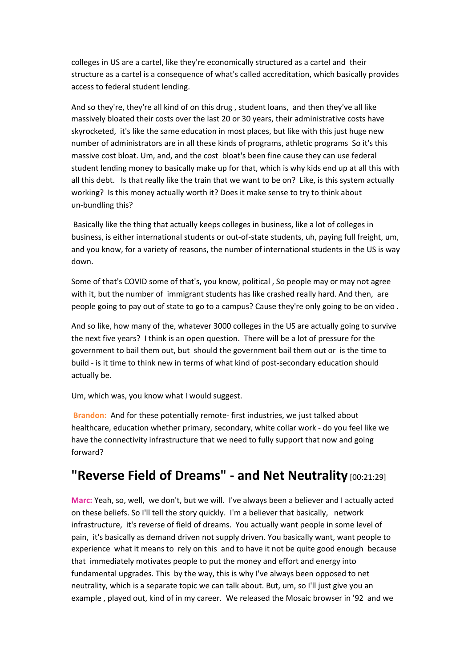colleges in US are a cartel, like they're economically structured as a cartel and their structure as a cartel is a consequence of what's called accreditation, which basically provides access to federal student lending.

And so they're, they're all kind of on this drug , student loans, and then they've all like massively bloated their costs over the last 20 or 30 years, their administrative costs have skyrocketed, it's like the same education in most places, but like with this just huge new number of administrators are in all these kinds of programs, athletic programs So it's this massive cost bloat. Um, and, and the cost bloat's been fine cause they can use federal student lending money to basically make up for that, which is why kids end up at all this with all this debt. Is that really like the train that we want to be on? Like, is this system actually working? Is this money actually worth it? Does it make sense to try to think about un-bundling this?

Basically like the thing that actually keeps colleges in business, like a lot of colleges in business, is either international students or out-of-state students, uh, paying full freight, um, and you know, for a variety of reasons, the number of international students in the US is way down.

Some of that's COVID some of that's, you know, political , So people may or may not agree with it, but the number of immigrant students has like crashed really hard. And then, are people going to pay out of state to go to a campus? Cause they're only going to be on video .

And so like, how many of the, whatever 3000 colleges in the US are actually going to survive the next five years? I think is an open question. There will be a lot of pressure for the government to bail them out, but should the government bail them out or is the time to build - is it time to think new in terms of what kind of post-secondary education should actually be.

Um, which was, you know what I would suggest.

**Brandon:** And for these potentially remote- first industries, we just talked about healthcare, education whether primary, secondary, white collar work - do you feel like we have the connectivity infrastructure that we need to fully support that now and going forward?

## **"Reverse Field of Dreams" - and Net Neutrality** [00:21:29]

**Marc:** Yeah, so, well, we don't, but we will. I've always been a believer and I actually acted on these beliefs. So I'll tell the story quickly. I'm a believer that basically, network infrastructure, it's reverse of field of dreams. You actually want people in some level of pain, it's basically as demand driven not supply driven. You basically want, want people to experience what it means to rely on this and to have it not be quite good enough because that immediately motivates people to put the money and effort and energy into fundamental upgrades. This by the way, this is why I've always been opposed to net neutrality, which is a separate topic we can talk about. But, um, so I'll just give you an example , played out, kind of in my career. We released the Mosaic browser in '92 and we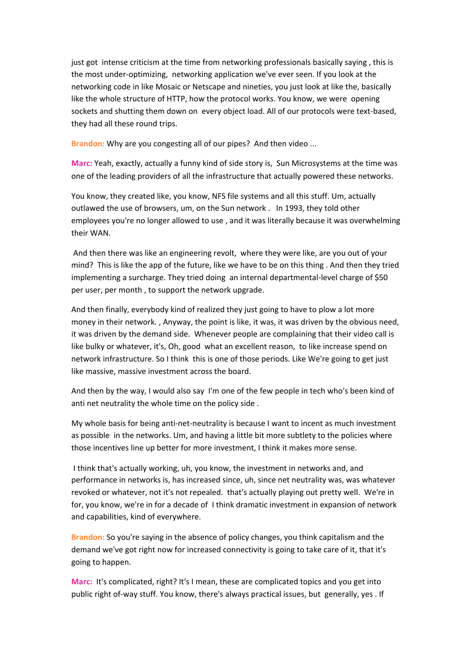just got intense criticism at the time from networking professionals basically saying , this is the most under-optimizing, networking application we've ever seen. If you look at the networking code in like Mosaic or Netscape and nineties, you just look at like the, basically like the whole structure of HTTP, how the protocol works. You know, we were opening sockets and shutting them down on every object load. All of our protocols were text-based, they had all these round trips.

**Brandon:** Why are you congesting all of our pipes? And then video ...

**Marc:** Yeah, exactly, actually a funny kind of side story is, Sun Microsystems at the time was one of the leading providers of all the infrastructure that actually powered these networks.

You know, they created like, you know, NFS file systems and all this stuff. Um, actually outlawed the use of browsers, um, on the Sun network . In 1993, they told other employees you're no longer allowed to use , and it was literally because it was overwhelming their WAN.

And then there was like an engineering revolt, where they were like, are you out of your mind? This is like the app of the future, like we have to be on this thing . And then they tried implementing a surcharge. They tried doing an internal departmental-level charge of \$50 per user, per month , to support the network upgrade.

And then finally, everybody kind of realized they just going to have to plow a lot more money in their network. , Anyway, the point is like, it was, it was driven by the obvious need, it was driven by the demand side. Whenever people are complaining that their video call is like bulky or whatever, it's, Oh, good what an excellent reason, to like increase spend on network infrastructure. So I think this is one of those periods. Like We're going to get just like massive, massive investment across the board.

And then by the way, I would also say I'm one of the few people in tech who's been kind of anti net neutrality the whole time on the policy side .

My whole basis for being anti-net-neutrality is because I want to incent as much investment as possible in the networks. Um, and having a little bit more subtlety to the policies where those incentives line up better for more investment, I think it makes more sense.

I think that's actually working, uh, you know, the investment in networks and, and performance in networks is, has increased since, uh, since net neutrality was, was whatever revoked or whatever, not it's not repealed. that's actually playing out pretty well. We're in for, you know, we're in for a decade of I think dramatic investment in expansion of network and capabilities, kind of everywhere.

**Brandon:** So you're saying in the absence of policy changes, you think capitalism and the demand we've got right now for increased connectivity is going to take care of it, that it's going to happen.

**Marc:** It's complicated, right? It's I mean, these are complicated topics and you get into public right of-way stuff. You know, there's always practical issues, but generally, yes . If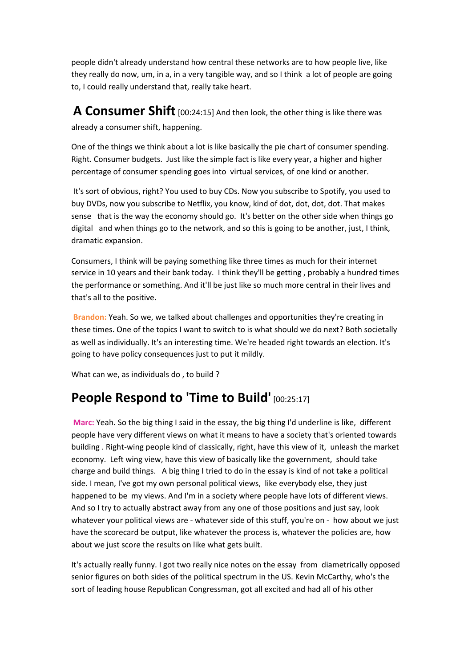people didn't already understand how central these networks are to how people live, like they really do now, um, in a, in a very tangible way, and so I think a lot of people are going to, I could really understand that, really take heart.

**A Consumer Shift** [00:24:15] And then look, the other thing is like there was already a consumer shift, happening.

One of the things we think about a lot is like basically the pie chart of consumer spending. Right. Consumer budgets. Just like the simple fact is like every year, a higher and higher percentage of consumer spending goes into virtual services, of one kind or another.

It's sort of obvious, right? You used to buy CDs. Now you subscribe to Spotify, you used to buy DVDs, now you subscribe to Netflix, you know, kind of dot, dot, dot, dot. That makes sense that is the way the economy should go. It's better on the other side when things go digital and when things go to the network, and so this is going to be another, just, I think, dramatic expansion.

Consumers, I think will be paying something like three times as much for their internet service in 10 years and their bank today. I think they'll be getting , probably a hundred times the performance or something. And it'll be just like so much more central in their lives and that's all to the positive.

**Brandon:** Yeah. So we, we talked about challenges and opportunities they're creating in these times. One of the topics I want to switch to is what should we do next? Both societally as well as individually. It's an interesting time. We're headed right towards an election. It's going to have policy consequences just to put it mildly.

What can we, as individuals do , to build ?

# **People Respond to 'Time to Build'** [00:25:17]

**Marc:** Yeah. So the big thing I said in the essay, the big thing I'd underline is like, different people have very different views on what it means to have a society that's oriented towards building . Right-wing people kind of classically, right, have this view of it, unleash the market economy. Left wing view, have this view of basically like the government, should take charge and build things. A big thing I tried to do in the essay is kind of not take a political side. I mean, I've got my own personal political views, like everybody else, they just happened to be my views. And I'm in a society where people have lots of different views. And so I try to actually abstract away from any one of those positions and just say, look whatever your political views are - whatever side of this stuff, you're on - how about we just have the scorecard be output, like whatever the process is, whatever the policies are, how about we just score the results on like what gets built.

It's actually really funny. I got two really nice notes on the essay from diametrically opposed senior figures on both sides of the political spectrum in the US. Kevin McCarthy, who's the sort of leading house Republican Congressman, got all excited and had all of his other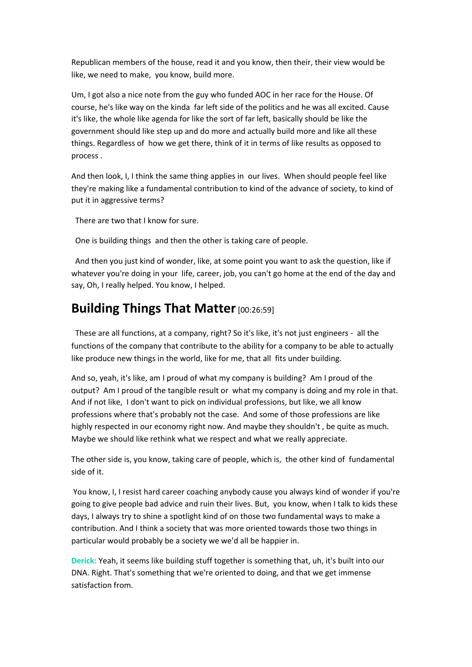Republican members of the house, read it and you know, then their, their view would be like, we need to make, you know, build more.

Um, I got also a nice note from the guy who funded AOC in her race for the House. Of course, he's like way on the kinda far left side of the politics and he was all excited. Cause it's like, the whole like agenda for like the sort of far left, basically should be like the government should like step up and do more and actually build more and like all these things. Regardless of how we get there, think of it in terms of like results as opposed to process .

And then look, I, I think the same thing applies in our lives. When should people feel like they're making like a fundamental contribution to kind of the advance of society, to kind of put it in aggressive terms?

There are two that I know for sure.

One is building things and then the other is taking care of people.

And then you just kind of wonder, like, at some point you want to ask the question, like if whatever you're doing in your life, career, job, you can't go home at the end of the day and say, Oh, I really helped. You know, I helped.

## **Building Things That Matter** [00:26:59]

These are all functions, at a company, right? So it's like, it's not just engineers - all the functions of the company that contribute to the ability for a company to be able to actually like produce new things in the world, like for me, that all fits under building.

And so, yeah, it's like, am I proud of what my company is building? Am I proud of the output? Am I proud of the tangible result or what my company is doing and my role in that. And if not like, I don't want to pick on individual professions, but like, we all know professions where that's probably not the case. And some of those professions are like highly respected in our economy right now. And maybe they shouldn't , be quite as much. Maybe we should like rethink what we respect and what we really appreciate.

The other side is, you know, taking care of people, which is, the other kind of fundamental side of it.

You know, I, I resist hard career coaching anybody cause you always kind of wonder if you're going to give people bad advice and ruin their lives. But, you know, when I talk to kids these days, I always try to shine a spotlight kind of on those two fundamental ways to make a contribution. And I think a society that was more oriented towards those two things in particular would probably be a society we we'd all be happier in.

**Derick:** Yeah, it seems like building stuff together is something that, uh, it's built into our DNA. Right. That's something that we're oriented to doing, and that we get immense satisfaction from.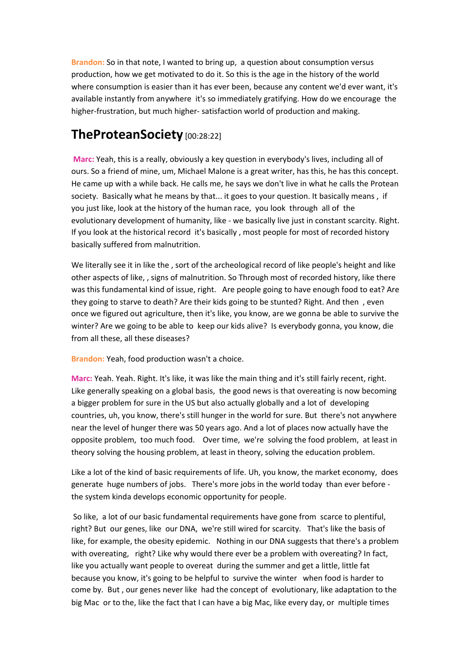**Brandon:** So in that note, I wanted to bring up, a question about consumption versus production, how we get motivated to do it. So this is the age in the history of the world where consumption is easier than it has ever been, because any content we'd ever want, it's available instantly from anywhere it's so immediately gratifying. How do we encourage the higher-frustration, but much higher- satisfaction world of production and making.

## **TheProteanSociety** [00:28:22]

**Marc:** Yeah, this is a really, obviously a key question in everybody's lives, including all of ours. So a friend of mine, um, Michael Malone is a great writer, has this, he has this concept. He came up with a while back. He calls me, he says we don't live in what he calls the Protean society. Basically what he means by that... it goes to your question. It basically means , if you just like, look at the history of the human race, you look through all of the evolutionary development of humanity, like - we basically live just in constant scarcity. Right. If you look at the historical record it's basically , most people for most of recorded history basically suffered from malnutrition.

We literally see it in like the , sort of the archeological record of like people's height and like other aspects of like, , signs of malnutrition. So Through most of recorded history, like there was this fundamental kind of issue, right. Are people going to have enough food to eat? Are they going to starve to death? Are their kids going to be stunted? Right. And then , even once we figured out agriculture, then it's like, you know, are we gonna be able to survive the winter? Are we going to be able to keep our kids alive? Is everybody gonna, you know, die from all these, all these diseases?

**Brandon:** Yeah, food production wasn't a choice.

**Marc:** Yeah. Yeah. Right. It's like, it was like the main thing and it's still fairly recent, right. Like generally speaking on a global basis, the good news is that overeating is now becoming a bigger problem for sure in the US but also actually globally and a lot of developing countries, uh, you know, there's still hunger in the world for sure. But there's not anywhere near the level of hunger there was 50 years ago. And a lot of places now actually have the opposite problem, too much food. Over time, we're solving the food problem, at least in theory solving the housing problem, at least in theory, solving the education problem.

Like a lot of the kind of basic requirements of life. Uh, you know, the market economy, does generate huge numbers of jobs. There's more jobs in the world today than ever before the system kinda develops economic opportunity for people.

So like, a lot of our basic fundamental requirements have gone from scarce to plentiful, right? But our genes, like our DNA, we're still wired for scarcity. That's like the basis of like, for example, the obesity epidemic. Nothing in our DNA suggests that there's a problem with overeating, right? Like why would there ever be a problem with overeating? In fact, like you actually want people to overeat during the summer and get a little, little fat because you know, it's going to be helpful to survive the winter when food is harder to come by. But , our genes never like had the concept of evolutionary, like adaptation to the big Mac or to the, like the fact that I can have a big Mac, like every day, or multiple times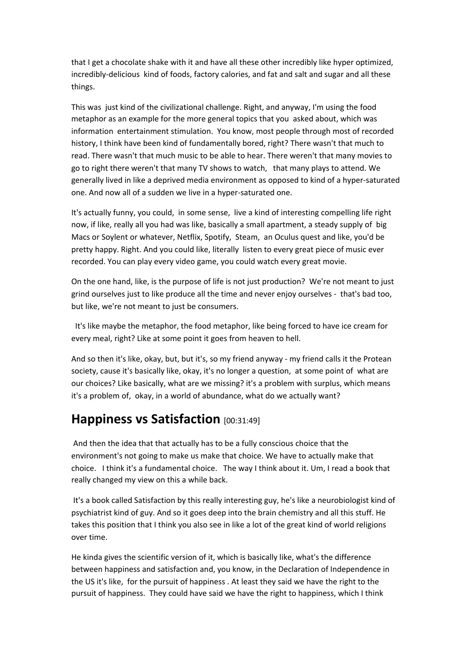that I get a chocolate shake with it and have all these other incredibly like hyper optimized, incredibly-delicious kind of foods, factory calories, and fat and salt and sugar and all these things.

This was just kind of the civilizational challenge. Right, and anyway, I'm using the food metaphor as an example for the more general topics that you asked about, which was information entertainment stimulation. You know, most people through most of recorded history, I think have been kind of fundamentally bored, right? There wasn't that much to read. There wasn't that much music to be able to hear. There weren't that many movies to go to right there weren't that many TV shows to watch, that many plays to attend. We generally lived in like a deprived media environment as opposed to kind of a hyper-saturated one. And now all of a sudden we live in a hyper-saturated one.

It's actually funny, you could, in some sense, live a kind of interesting compelling life right now, if like, really all you had was like, basically a small apartment, a steady supply of big Macs or Soylent or whatever, Netflix, Spotify, Steam, an Oculus quest and like, you'd be pretty happy. Right. And you could like, literally listen to every great piece of music ever recorded. You can play every video game, you could watch every great movie.

On the one hand, like, is the purpose of life is not just production? We're not meant to just grind ourselves just to like produce all the time and never enjoy ourselves - that's bad too, but like, we're not meant to just be consumers.

It's like maybe the metaphor, the food metaphor, like being forced to have ice cream for every meal, right? Like at some point it goes from heaven to hell.

And so then it's like, okay, but, but it's, so my friend anyway - my friend calls it the Protean society, cause it's basically like, okay, it's no longer a question, at some point of what are our choices? Like basically, what are we missing? it's a problem with surplus, which means it's a problem of, okay, in a world of abundance, what do we actually want?

### **Happiness vs Satisfaction** [00:31:49]

And then the idea that that actually has to be a fully conscious choice that the environment's not going to make us make that choice. We have to actually make that choice. I think it's a fundamental choice. The way I think about it. Um, I read a book that really changed my view on this a while back.

It's a book called Satisfaction by this really interesting guy, he's like a neurobiologist kind of psychiatrist kind of guy. And so it goes deep into the brain chemistry and all this stuff. He takes this position that I think you also see in like a lot of the great kind of world religions over time.

He kinda gives the scientific version of it, which is basically like, what's the difference between happiness and satisfaction and, you know, in the Declaration of Independence in the US it's like, for the pursuit of happiness . At least they said we have the right to the pursuit of happiness. They could have said we have the right to happiness, which I think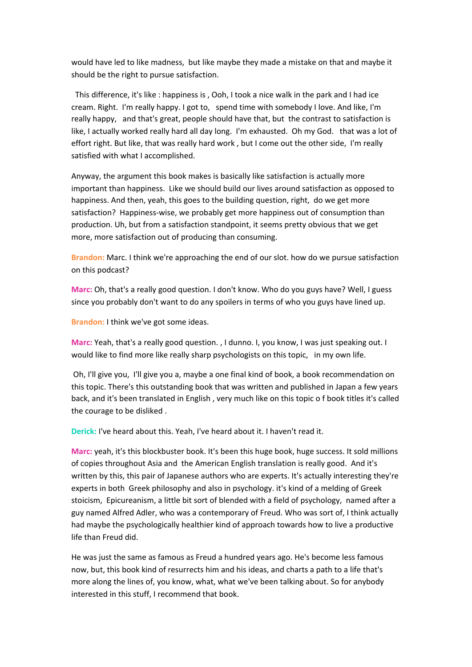would have led to like madness, but like maybe they made a mistake on that and maybe it should be the right to pursue satisfaction.

This difference, it's like : happiness is , Ooh, I took a nice walk in the park and I had ice cream. Right. I'm really happy. I got to, spend time with somebody I love. And like, I'm really happy, and that's great, people should have that, but the contrast to satisfaction is like, I actually worked really hard all day long. I'm exhausted. Oh my God. that was a lot of effort right. But like, that was really hard work , but I come out the other side, I'm really satisfied with what I accomplished.

Anyway, the argument this book makes is basically like satisfaction is actually more important than happiness. Like we should build our lives around satisfaction as opposed to happiness. And then, yeah, this goes to the building question, right, do we get more satisfaction? Happiness-wise, we probably get more happiness out of consumption than production. Uh, but from a satisfaction standpoint, it seems pretty obvious that we get more, more satisfaction out of producing than consuming.

**Brandon:** Marc. I think we're approaching the end of our slot. how do we pursue satisfaction on this podcast?

**Marc:** Oh, that's a really good question. I don't know. Who do you guys have? Well, I guess since you probably don't want to do any spoilers in terms of who you guys have lined up.

**Brandon:** I think we've got some ideas.

**Marc:** Yeah, that's a really good question. , I dunno. I, you know, I was just speaking out. I would like to find more like really sharp psychologists on this topic, in my own life.

Oh, I'll give you, I'll give you a, maybe a one final kind of book, a book recommendation on this topic. There's this outstanding book that was written and published in Japan a few years back, and it's been translated in English , very much like on this topic o f book titles it's called the courage to be disliked .

**Derick:** I've heard about this. Yeah, I've heard about it. I haven't read it.

**Marc:** yeah, it's this blockbuster book. It's been this huge book, huge success. It sold millions of copies throughout Asia and the American English translation is really good. And it's written by this, this pair of Japanese authors who are experts. It's actually interesting they're experts in both Greek philosophy and also in psychology. it's kind of a melding of Greek stoicism, Epicureanism, a little bit sort of blended with a field of psychology, named after a guy named Alfred Adler, who was a contemporary of Freud. Who was sort of, I think actually had maybe the psychologically healthier kind of approach towards how to live a productive life than Freud did.

He was just the same as famous as Freud a hundred years ago. He's become less famous now, but, this book kind of resurrects him and his ideas, and charts a path to a life that's more along the lines of, you know, what, what we've been talking about. So for anybody interested in this stuff, I recommend that book.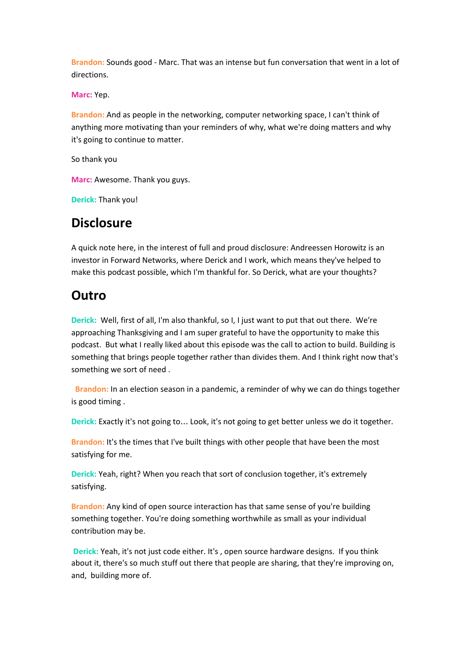**Brandon:** Sounds good - Marc. That was an intense but fun conversation that went in a lot of directions.

**Marc:** Yep.

**Brandon:** And as people in the networking, computer networking space, I can't think of anything more motivating than your reminders of why, what we're doing matters and why it's going to continue to matter.

So thank you

**Marc:** Awesome. Thank you guys.

**Derick:** Thank you!

#### **Disclosure**

A quick note here, in the interest of full and proud disclosure: Andreessen Horowitz is an investor in Forward Networks, where Derick and I work, which means they've helped to make this podcast possible, which I'm thankful for. So Derick, what are your thoughts?

### **Outro**

**Derick:** Well, first of all, I'm also thankful, so I, I just want to put that out there. We're approaching Thanksgiving and I am super grateful to have the opportunity to make this podcast. But what I really liked about this episode was the call to action to build. Building is something that brings people together rather than divides them. And I think right now that's something we sort of need .

**Brandon:** In an election season in a pandemic, a reminder of why we can do things together is good timing .

**Derick:** Exactly it's not going to… Look, it's not going to get better unless we do it together.

**Brandon:** It's the times that I've built things with other people that have been the most satisfying for me.

**Derick:** Yeah, right? When you reach that sort of conclusion together, it's extremely satisfying.

**Brandon:** Any kind of open source interaction has that same sense of you're building something together. You're doing something worthwhile as small as your individual contribution may be.

**Derick:** Yeah, it's not just code either. It's , open source hardware designs. If you think about it, there's so much stuff out there that people are sharing, that they're improving on, and, building more of.